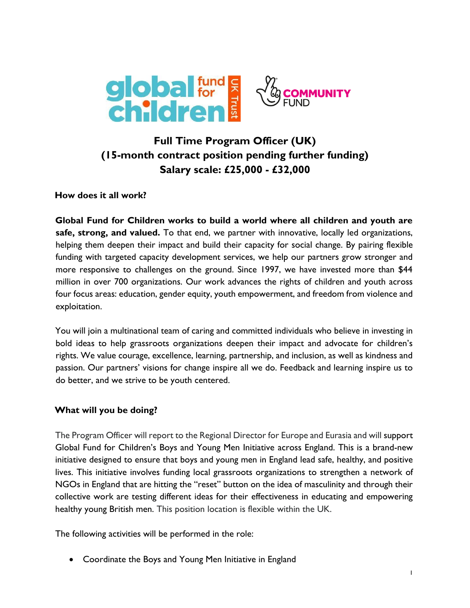

# **Full Time Program Officer (UK) (15-month contract position pending further funding) Salary scale: £25,000 - £32,000**

#### **How does it all work?**

**Global Fund for Children works to build a world where all children and youth are safe, strong, and valued.** To that end, we partner with innovative, locally led organizations, helping them deepen their impact and build their capacity for social change. By pairing flexible funding with targeted capacity development services, we help our partners grow stronger and more responsive to challenges on the ground. Since 1997, we have invested more than \$44 million in over 700 organizations. Our work advances the rights of children and youth across four focus areas: education, gender equity, youth empowerment, and freedom from violence and exploitation.

You will join a multinational team of caring and committed individuals who believe in investing in bold ideas to help grassroots organizations deepen their impact and advocate for children's rights. We value courage, excellence, learning, partnership, and inclusion, as well as kindness and passion. Our partners' visions for change inspire all we do. Feedback and learning inspire us to do better, and we strive to be youth centered.

### **What will you be doing?**

The Program Officer will report to the Regional Director for Europe and Eurasia and will support Global Fund for Children's Boys and Young Men Initiative across England. This is a brand-new initiative designed to ensure that boys and young men in England lead safe, healthy, and positive lives. This initiative involves funding local grassroots organizations to strengthen a network of NGOs in England that are hitting the "reset" button on the idea of masculinity and through their collective work are testing different ideas for their effectiveness in educating and empowering healthy young British men. This position location is flexible within the UK.

The following activities will be performed in the role:

Coordinate the Boys and Young Men Initiative in England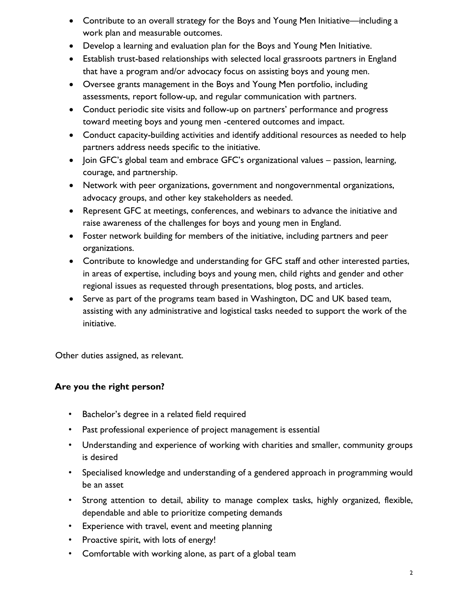- Contribute to an overall strategy for the Boys and Young Men Initiative—including a work plan and measurable outcomes.
- Develop a learning and evaluation plan for the Boys and Young Men Initiative.
- Establish trust-based relationships with selected local grassroots partners in England that have a program and/or advocacy focus on assisting boys and young men.
- Oversee grants management in the Boys and Young Men portfolio, including assessments, report follow-up, and regular communication with partners.
- Conduct periodic site visits and follow-up on partners' performance and progress toward meeting boys and young men -centered outcomes and impact.
- Conduct capacity-building activities and identify additional resources as needed to help partners address needs specific to the initiative.
- Join GFC's global team and embrace GFC's organizational values passion, learning, courage, and partnership.
- Network with peer organizations, government and nongovernmental organizations, advocacy groups, and other key stakeholders as needed.
- Represent GFC at meetings, conferences, and webinars to advance the initiative and raise awareness of the challenges for boys and young men in England.
- Foster network building for members of the initiative, including partners and peer organizations.
- Contribute to knowledge and understanding for GFC staff and other interested parties, in areas of expertise, including boys and young men, child rights and gender and other regional issues as requested through presentations, blog posts, and articles.
- Serve as part of the programs team based in Washington, DC and UK based team, assisting with any administrative and logistical tasks needed to support the work of the initiative.

Other duties assigned, as relevant.

## **Are you the right person?**

- Bachelor's degree in a related field required
- Past professional experience of project management is essential
- Understanding and experience of working with charities and smaller, community groups is desired
- Specialised knowledge and understanding of a gendered approach in programming would be an asset
- Strong attention to detail, ability to manage complex tasks, highly organized, flexible, dependable and able to prioritize competing demands
- Experience with travel, event and meeting planning
- Proactive spirit, with lots of energy!
- Comfortable with working alone, as part of a global team